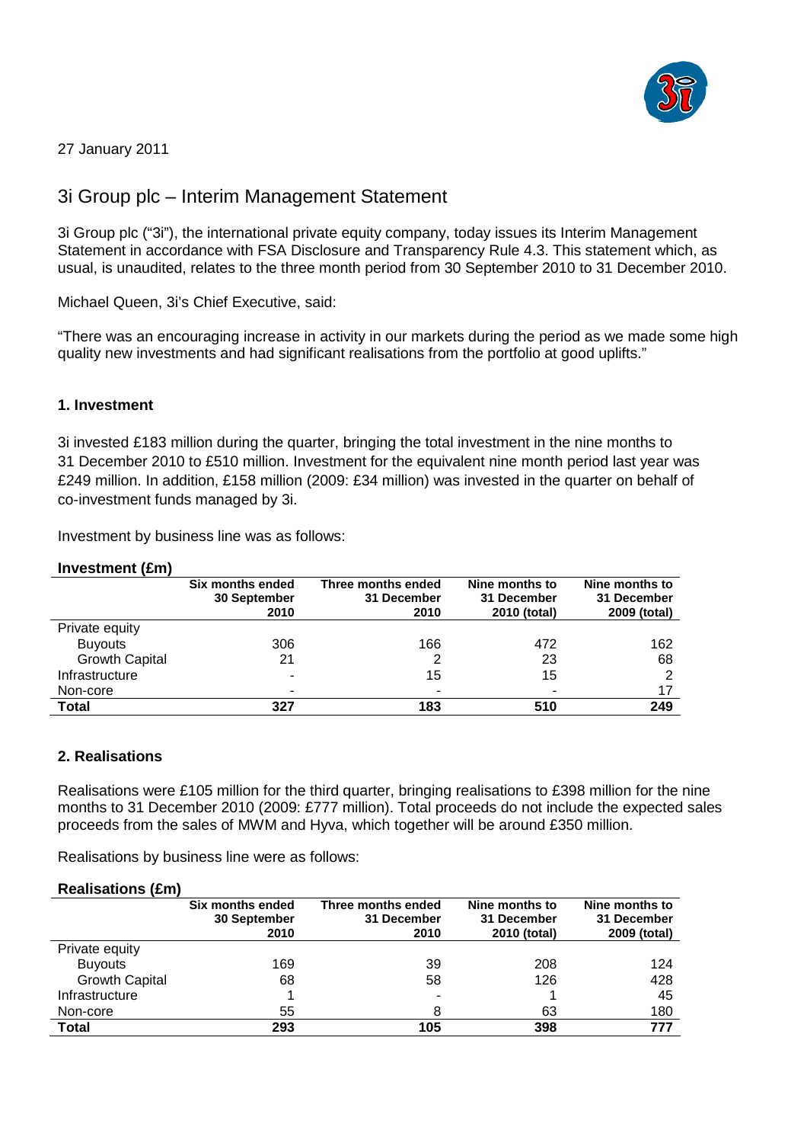

27 January 2011

# 3i Group plc – Interim Management Statement

3i Group plc ("3i"), the international private equity company, today issues its Interim Management Statement in accordance with FSA Disclosure and Transparency Rule 4.3. This statement which, as usual, is unaudited, relates to the three month period from 30 September 2010 to 31 December 2010.

Michael Queen, 3i's Chief Executive, said:

"There was an encouraging increase in activity in our markets during the period as we made some high quality new investments and had significant realisations from the portfolio at good uplifts."

## **1. Investment**

3i invested £183 million during the quarter, bringing the total investment in the nine months to 31 December 2010 to £510 million. Investment for the equivalent nine month period last year was £249 million. In addition, £158 million (2009: £34 million) was invested in the quarter on behalf of co-investment funds managed by 3i.

Investment by business line was as follows:

#### **Investment (£m)**

|                       | Six months ended<br>30 September<br>2010 | Three months ended<br>31 December<br>2010 | Nine months to<br>31 December<br>2010 (total) | Nine months to<br>31 December<br>2009 (total) |
|-----------------------|------------------------------------------|-------------------------------------------|-----------------------------------------------|-----------------------------------------------|
| Private equity        |                                          |                                           |                                               |                                               |
| <b>Buyouts</b>        | 306                                      | 166                                       | 472                                           | 162                                           |
| <b>Growth Capital</b> | 21                                       | 2                                         | 23                                            | 68                                            |
| Infrastructure        | $\tilde{\phantom{a}}$                    | 15                                        | 15                                            | ົ                                             |
| Non-core              | $\tilde{\phantom{a}}$                    |                                           |                                               | 17                                            |
| <b>Total</b>          | 327                                      | 183                                       | 510                                           | 249                                           |

### **2. Realisations**

Realisations were £105 million for the third quarter, bringing realisations to £398 million for the nine months to 31 December 2010 (2009: £777 million). Total proceeds do not include the expected sales proceeds from the sales of MWM and Hyva, which together will be around £350 million.

Realisations by business line were as follows:

#### **Realisations (£m)**

| ,,,,,,,,              | Six months ended<br>30 September<br>2010 | Three months ended<br>31 December<br>2010 | Nine months to<br>31 December<br>2010 (total) | Nine months to<br>31 December<br>2009 (total) |
|-----------------------|------------------------------------------|-------------------------------------------|-----------------------------------------------|-----------------------------------------------|
| Private equity        |                                          |                                           |                                               |                                               |
| <b>Buyouts</b>        | 169                                      | 39                                        | 208                                           | 124                                           |
| <b>Growth Capital</b> | 68                                       | 58                                        | 126                                           | 428                                           |
| Infrastructure        |                                          |                                           |                                               | 45                                            |
| Non-core              | 55                                       |                                           | 63                                            | 180                                           |
| Total                 | 293                                      | 105                                       | 398                                           | 777                                           |